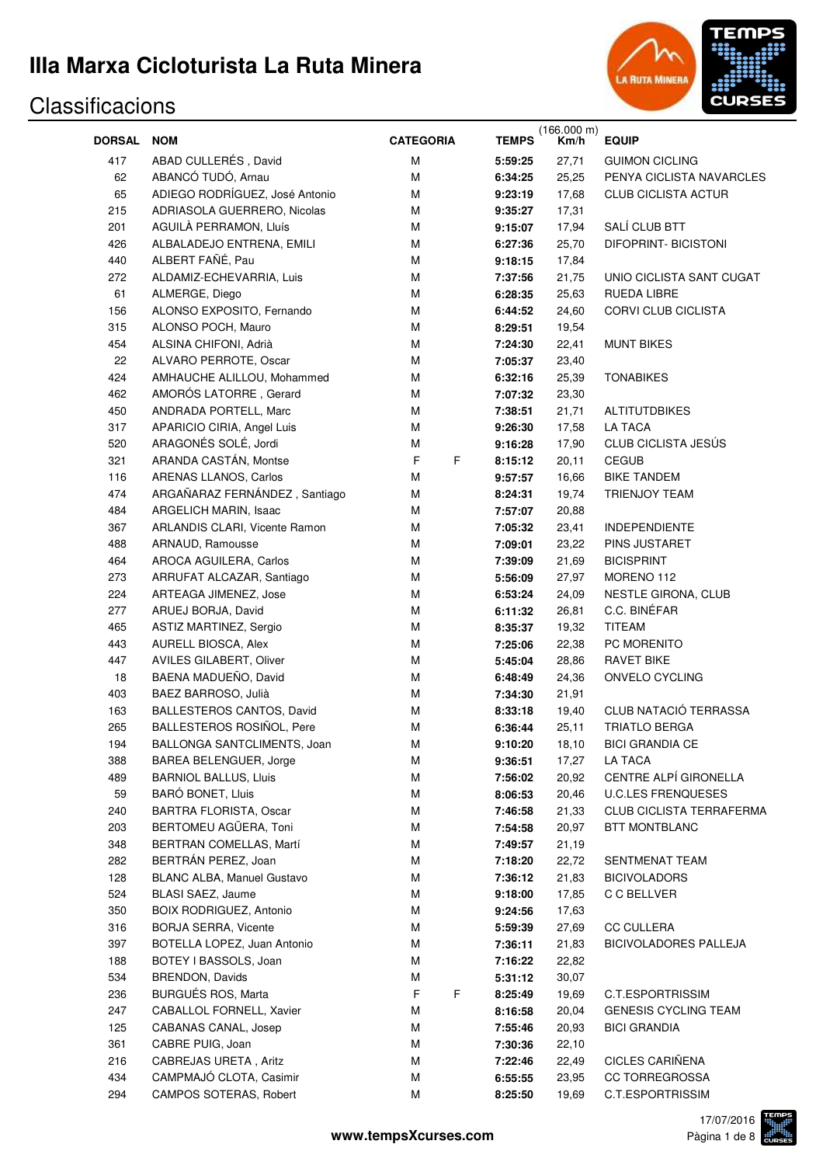

| <b>DORSAL</b> | <b>NOM</b>                                             | <b>CATEGORIA</b> | <b>TEMPS</b>       | (166.000 m)<br>Km/h | <b>EQUIP</b>                     |
|---------------|--------------------------------------------------------|------------------|--------------------|---------------------|----------------------------------|
| 417           | ABAD CULLERÉS, David                                   | M                | 5:59:25            | 27,71               | <b>GUIMON CICLING</b>            |
| 62            | ABANCÓ TUDÓ, Arnau                                     | M                | 6:34:25            | 25,25               | PENYA CICLISTA NAVARCLES         |
| 65            | ADIEGO RODRÍGUEZ, José Antonio                         | M                | 9:23:19            | 17,68               | <b>CLUB CICLISTA ACTUR</b>       |
| 215           | ADRIASOLA GUERRERO, Nicolas                            | М                | 9:35:27            | 17,31               |                                  |
| 201           | AGUILÀ PERRAMON, Lluís                                 | м                | 9:15:07            | 17,94               | SALÍ CLUB BTT                    |
| 426           | ALBALADEJO ENTRENA, EMILI                              | м                | 6:27:36            | 25,70               | <b>DIFOPRINT- BICISTONI</b>      |
| 440           | ALBERT FAÑÉ, Pau                                       | М                | 9:18:15            | 17,84               |                                  |
| 272           | ALDAMIZ-ECHEVARRIA, Luis                               | M                | 7:37:56            | 21,75               | UNIO CICLISTA SANT CUGAT         |
| 61            | ALMERGE, Diego                                         | M                | 6:28:35            | 25,63               | <b>RUEDA LIBRE</b>               |
| 156           | ALONSO EXPOSITO, Fernando                              | M                | 6:44:52            | 24,60               | CORVI CLUB CICLISTA              |
| 315           | ALONSO POCH, Mauro                                     | M                | 8:29:51            | 19,54               |                                  |
| 454           | ALSINA CHIFONI, Adrià                                  | M                | 7:24:30            | 22,41               | <b>MUNT BIKES</b>                |
| 22            | ALVARO PERROTE, Oscar                                  | M                | 7:05:37            | 23,40               |                                  |
| 424           | AMHAUCHE ALILLOU, Mohammed                             | M                | 6:32:16            | 25,39               | <b>TONABIKES</b>                 |
| 462           | AMORÓS LATORRE, Gerard                                 | M                | 7:07:32            | 23,30               |                                  |
| 450           | ANDRADA PORTELL, Marc                                  | M                | 7:38:51            | 21,71               | <b>ALTITUTDBIKES</b>             |
| 317           | APARICIO CIRIA, Angel Luis                             | M                | 9:26:30            | 17,58               | <b>LA TACA</b>                   |
| 520           | ARAGONÉS SOLÉ, Jordi                                   | M                | 9:16:28            | 17,90               | CLUB CICLISTA JESÚS              |
| 321           | ARANDA CASTÁN, Montse                                  | F<br>F           | 8:15:12            | 20,11               | <b>CEGUB</b>                     |
| 116           | ARENAS LLANOS, Carlos                                  | M                | 9:57:57            | 16,66               | <b>BIKE TANDEM</b>               |
| 474           | ARGAÑARAZ FERNÁNDEZ, Santiago                          | M                | 8:24:31            | 19,74               | TRIENJOY TEAM                    |
| 484           | ARGELICH MARIN, Isaac                                  | M                | 7:57:07            | 20,88               |                                  |
| 367           | ARLANDIS CLARI, Vicente Ramon                          | M                | 7:05:32            | 23,41               | <b>INDEPENDIENTE</b>             |
| 488           | ARNAUD, Ramousse                                       | М                | 7:09:01            | 23,22               | PINS JUSTARET                    |
| 464           | AROCA AGUILERA, Carlos                                 | M                | 7:39:09            | 21,69               | <b>BICISPRINT</b>                |
| 273           | ARRUFAT ALCAZAR, Santiago                              | M                | 5:56:09            | 27,97               | MORENO 112                       |
| 224           | ARTEAGA JIMENEZ, Jose                                  | M                | 6:53:24            | 24,09               | NESTLE GIRONA, CLUB              |
| 277           | ARUEJ BORJA, David                                     | M                | 6:11:32            | 26,81               | C.C. BINÉFAR                     |
| 465           | <b>ASTIZ MARTINEZ, Sergio</b>                          | M                | 8:35:37            | 19,32               | <b>TITEAM</b>                    |
| 443           | AURELL BIOSCA, Alex                                    | M                | 7:25:06            | 22,38               | PC MORENITO                      |
| 447           | AVILES GILABERT, Oliver                                | M                | 5:45:04            | 28,86               | <b>RAVET BIKE</b>                |
| 18            | BAENA MADUEÑO, David                                   | м                | 6:48:49            | 24,36               | ONVELO CYCLING                   |
| 403           | BAEZ BARROSO, Julià                                    | м                | 7:34:30            | 21,91               |                                  |
| 163           | BALLESTEROS CANTOS, David<br>BALLESTEROS ROSIÑOL, Pere | M                | 8:33:18            | 19,40               | CLUB NATACIÓ TERRASSA            |
| 265           |                                                        | М                | 6:36:44            | 25,11               | <b>TRIATLO BERGA</b>             |
| 194           | BALLONGA SANTCLIMENTS, Joan                            | M                | 9:10:20            | 18,10               | <b>BICI GRANDIA CE</b>           |
| 388<br>489    | BAREA BELENGUER, Jorge<br><b>BARNIOL BALLUS, Lluis</b> | M<br>M           | 9:36:51<br>7:56:02 | 17,27<br>20,92      | LA TACA<br>CENTRE ALPÍ GIRONELLA |
| 59            | <b>BARÓ BONET, Lluis</b>                               | M                | 8:06:53            | 20,46               | <b>U.C.LES FRENQUESES</b>        |
| 240           | BARTRA FLORISTA, Oscar                                 | M                | 7:46:58            | 21,33               | <b>CLUB CICLISTA TERRAFERMA</b>  |
| 203           | BERTOMEU AGÜERA, Toni                                  | M                | 7:54:58            | 20,97               | <b>BTT MONTBLANC</b>             |
| 348           | BERTRAN COMELLAS, Martí                                | M                | 7:49:57            | 21,19               |                                  |
| 282           | BERTRÁN PEREZ, Joan                                    | M                | 7:18:20            | 22,72               | SENTMENAT TEAM                   |
| 128           | <b>BLANC ALBA, Manuel Gustavo</b>                      | M                | 7:36:12            | 21,83               | <b>BICIVOLADORS</b>              |
| 524           | <b>BLASI SAEZ, Jaume</b>                               | M                | 9:18:00            | 17,85               | C C BELLVER                      |
| 350           | <b>BOIX RODRIGUEZ, Antonio</b>                         | M                | 9:24:56            | 17,63               |                                  |
| 316           | <b>BORJA SERRA, Vicente</b>                            | M                | 5:59:39            | 27,69               | <b>CC CULLERA</b>                |
| 397           | BOTELLA LOPEZ, Juan Antonio                            | M                | 7:36:11            | 21,83               | <b>BICIVOLADORES PALLEJA</b>     |
| 188           | BOTEY I BASSOLS, Joan                                  | M                | 7:16:22            | 22,82               |                                  |
| 534           | <b>BRENDON, Davids</b>                                 | M                | 5:31:12            | 30,07               |                                  |
| 236           | BURGUÉS ROS, Marta                                     | $\mathsf F$<br>F | 8:25:49            | 19,69               | C.T.ESPORTRISSIM                 |
| 247           | CABALLOL FORNELL, Xavier                               | M                | 8:16:58            | 20,04               | <b>GENESIS CYCLING TEAM</b>      |
| 125           | CABANAS CANAL, Josep                                   | M                | 7:55:46            | 20,93               | <b>BICI GRANDIA</b>              |
| 361           | CABRE PUIG, Joan                                       | M                | 7:30:36            | 22,10               |                                  |
| 216           | CABREJAS URETA, Aritz                                  | M                | 7:22:46            | 22,49               | CICLES CARIÑENA                  |
| 434           | CAMPMAJÓ CLOTA, Casimir                                | M                | 6:55:55            | 23,95               | <b>CC TORREGROSSA</b>            |
| 294           | CAMPOS SOTERAS, Robert                                 | M                | 8:25:50            | 19,69               | C.T.ESPORTRISSIM                 |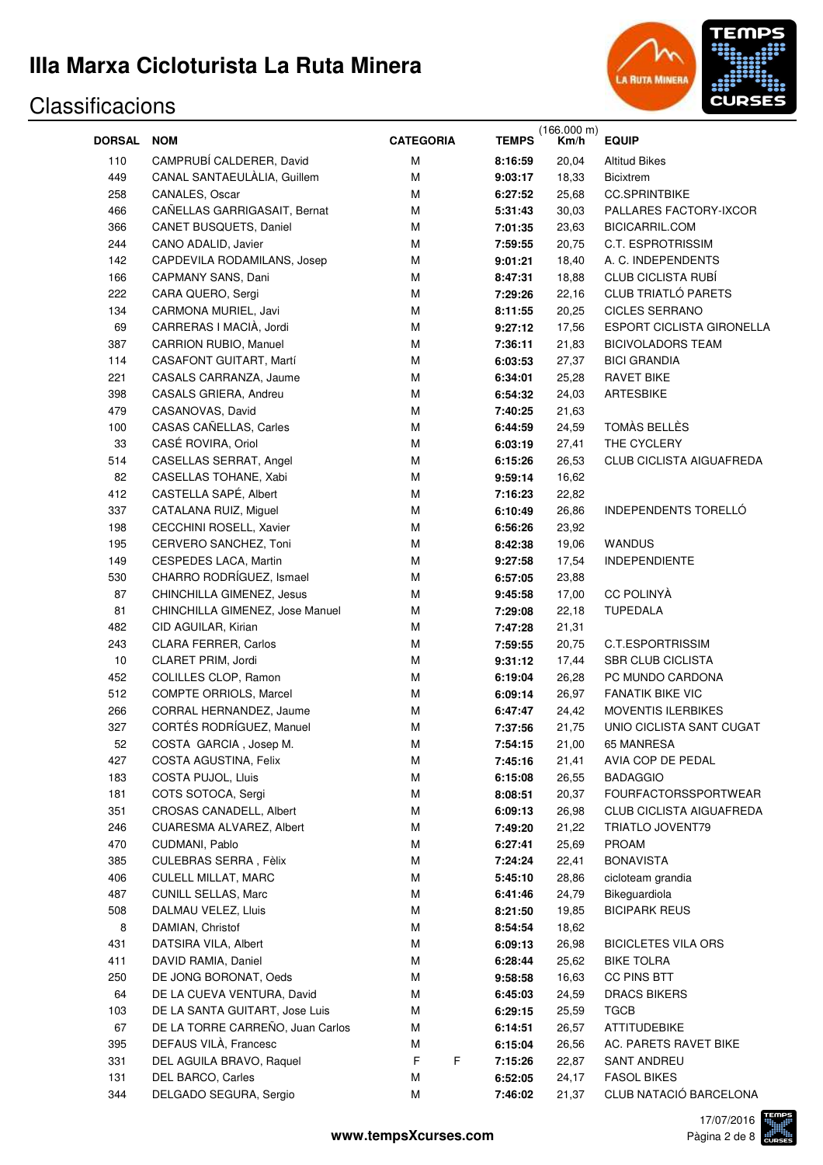

|               |                                  |                  |              | (166.000 m) |                                  |
|---------------|----------------------------------|------------------|--------------|-------------|----------------------------------|
| <b>DORSAL</b> | <b>NOM</b>                       | <b>CATEGORIA</b> | <b>TEMPS</b> | Km/h        | <b>EQUIP</b>                     |
| 110           | CAMPRUBÍ CALDERER, David         | м                | 8:16:59      | 20,04       | <b>Altitud Bikes</b>             |
| 449           | CANAL SANTAEULALIA, Guillem      | М                | 9:03:17      | 18,33       | <b>Bicixtrem</b>                 |
| 258           | CANALES, Oscar                   | М                | 6:27:52      | 25,68       | <b>CC.SPRINTBIKE</b>             |
| 466           | CAÑELLAS GARRIGASAIT, Bernat     | М                | 5:31:43      | 30,03       | PALLARES FACTORY-IXCOR           |
| 366           | CANET BUSQUETS, Daniel           | М                | 7:01:35      | 23,63       | BICICARRIL.COM                   |
| 244           | CANO ADALID, Javier              | М                | 7:59:55      | 20,75       | C.T. ESPROTRISSIM                |
| 142           | CAPDEVILA RODAMILANS, Josep      | М                | 9:01:21      | 18,40       | A. C. INDEPENDENTS               |
| 166           | CAPMANY SANS, Dani               | М                | 8:47:31      | 18,88       | <b>CLUB CICLISTA RUBÍ</b>        |
| 222           | CARA QUERO, Sergi                | М                | 7:29:26      | 22,16       | <b>CLUB TRIATLÓ PARETS</b>       |
| 134           | CARMONA MURIEL, Javi             | М                | 8:11:55      | 20,25       | <b>CICLES SERRANO</b>            |
| 69            | CARRERAS I MACIÀ, Jordi          | М                | 9:27:12      | 17,56       | <b>ESPORT CICLISTA GIRONELLA</b> |
| 387           | <b>CARRION RUBIO, Manuel</b>     | М                | 7:36:11      | 21,83       | <b>BICIVOLADORS TEAM</b>         |
| 114           | CASAFONT GUITART, Martí          | М                | 6:03:53      | 27,37       | <b>BICI GRANDIA</b>              |
| 221           | CASALS CARRANZA, Jaume           | М                | 6:34:01      | 25,28       | <b>RAVET BIKE</b>                |
| 398           | CASALS GRIERA, Andreu            | М                | 6:54:32      | 24,03       | <b>ARTESBIKE</b>                 |
| 479           | CASANOVAS, David                 | M                | 7:40:25      | 21,63       |                                  |
| 100           | CASAS CAÑELLAS, Carles           | M                | 6:44:59      | 24,59       | TOMÀS BELLÈS                     |
| 33            | CASÉ ROVIRA, Oriol               | M                | 6:03:19      | 27,41       | THE CYCLERY                      |
| 514           | CASELLAS SERRAT, Angel           | M                | 6:15:26      | 26,53       | CLUB CICLISTA AIGUAFREDA         |
| 82            | CASELLAS TOHANE, Xabi            | M                | 9:59:14      | 16,62       |                                  |
| 412           | CASTELLA SAPÉ, Albert            | М                | 7:16:23      | 22,82       |                                  |
| 337           | CATALANA RUIZ, Miguel            | М                | 6:10:49      | 26,86       | INDEPENDENTS TORELLÓ             |
| 198           | CECCHINI ROSELL, Xavier          | М                | 6:56:26      | 23,92       |                                  |
| 195           | CERVERO SANCHEZ, Toni            | М                | 8:42:38      | 19,06       | <b>WANDUS</b>                    |
| 149           | CESPEDES LACA, Martin            | М                | 9:27:58      | 17,54       | <b>INDEPENDIENTE</b>             |
| 530           | CHARRO RODRÍGUEZ, Ismael         | М                | 6:57:05      | 23,88       |                                  |
| 87            | CHINCHILLA GIMENEZ, Jesus        | М                | 9:45:58      | 17,00       | <b>CC POLINYÀ</b>                |
| 81            | CHINCHILLA GIMENEZ, Jose Manuel  | М                | 7:29:08      | 22,18       | <b>TUPEDALA</b>                  |
| 482           | CID AGUILAR, Kirian              | М                | 7:47:28      | 21,31       |                                  |
| 243           | <b>CLARA FERRER, Carlos</b>      | М                | 7:59:55      | 20,75       | C.T.ESPORTRISSIM                 |
| 10            | CLARET PRIM, Jordi               | М                | 9:31:12      | 17,44       | <b>SBR CLUB CICLISTA</b>         |
| 452           | COLILLES CLOP, Ramon             | М                | 6:19:04      | 26,28       | PC MUNDO CARDONA                 |
| 512           | COMPTE ORRIOLS, Marcel           | М                | 6:09:14      | 26,97       | <b>FANATIK BIKE VIC</b>          |
| 266           | CORRAL HERNANDEZ, Jaume          | М                | 6:47:47      | 24,42       | <b>MOVENTIS ILERBIKES</b>        |
| 327           | CORTÉS RODRÍGUEZ, Manuel         | М                | 7:37:56      | 21,75       | UNIO CICLISTA SANT CUGAT         |
| 52            | COSTA GARCIA, Josep M.           | М                | 7:54:15      | 21,00       | 65 MANRESA                       |
| 427           | COSTA AGUSTINA, Felix            | Μ                | 7:45:16      | 21,41       | AVIA COP DE PEDAL                |
| 183           | COSTA PUJOL, Lluis               | М                | 6:15:08      | 26,55       | <b>BADAGGIO</b>                  |
| 181           | COTS SOTOCA, Sergi               | М                | 8:08:51      | 20,37       | <b>FOURFACTORSSPORTWEAR</b>      |
| 351           | <b>CROSAS CANADELL, Albert</b>   | М                | 6:09:13      | 26,98       | <b>CLUB CICLISTA AIGUAFREDA</b>  |
| 246           | <b>CUARESMA ALVAREZ, Albert</b>  | М                | 7:49:20      | 21,22       | <b>TRIATLO JOVENT79</b>          |
| 470           | CUDMANI, Pablo                   | М                | 6:27:41      | 25,69       | <b>PROAM</b>                     |
| 385           | CULEBRAS SERRA, Fèlix            | М                | 7:24:24      | 22,41       | <b>BONAVISTA</b>                 |
| 406           | <b>CULELL MILLAT, MARC</b>       | М                | 5:45:10      | 28,86       | cicloteam grandia                |
| 487           | <b>CUNILL SELLAS, Marc</b>       | М                | 6:41:46      | 24,79       | Bikeguardiola                    |
| 508           | DALMAU VELEZ, Lluis              | М                | 8:21:50      | 19,85       | <b>BICIPARK REUS</b>             |
| 8             | DAMIAN, Christof                 | М                | 8:54:54      | 18,62       |                                  |
| 431           | DATSIRA VILA, Albert             | М                | 6:09:13      | 26,98       | <b>BICICLETES VILA ORS</b>       |
| 411           | DAVID RAMIA, Daniel              | М                | 6:28:44      | 25,62       | <b>BIKE TOLRA</b>                |
| 250           | DE JONG BORONAT, Oeds            | М                |              | 16,63       | CC PINS BTT                      |
|               |                                  |                  | 9:58:58      |             |                                  |
| 64            | DE LA CUEVA VENTURA, David       | М                | 6:45:03      | 24,59       | <b>DRACS BIKERS</b>              |
| 103           | DE LA SANTA GUITART, Jose Luis   | М                | 6:29:15      | 25,59       | TGCB                             |
| 67            | DE LA TORRE CARREÑO, Juan Carlos | М                | 6:14:51      | 26,57       | ATTITUDEBIKE                     |
| 395           | DEFAUS VILA, Francesc            | М                | 6:15:04      | 26,56       | AC. PARETS RAVET BIKE            |
| 331           | DEL AGUILA BRAVO, Raquel         | F<br>F           | 7:15:26      | 22,87       | SANT ANDREU                      |
| 131           | DEL BARCO, Carles                | М                | 6:52:05      | 24,17       | <b>FASOL BIKES</b>               |
| 344           | DELGADO SEGURA, Sergio           | М                | 7:46:02      | 21,37       | CLUB NATACIÓ BARCELONA           |

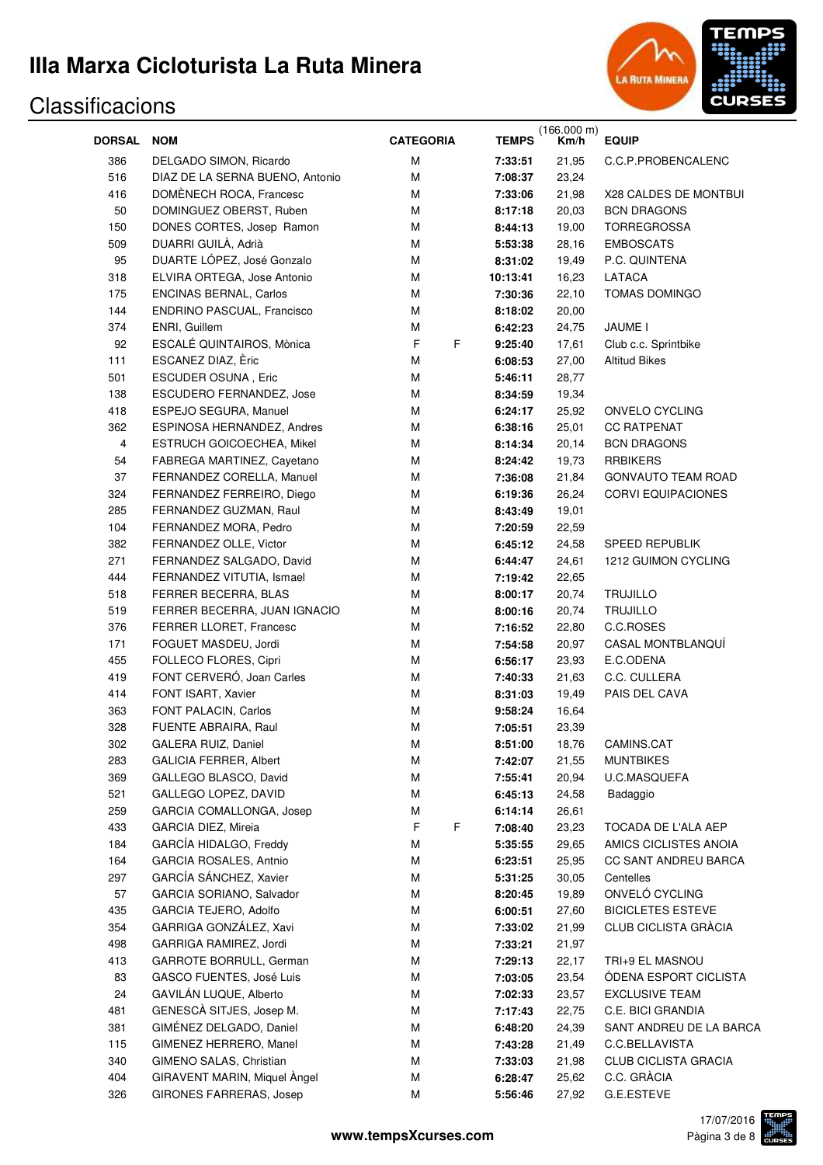

| <b>DORSAL</b>  | <b>NOM</b>                      | <b>CATEGORIA</b> | <b>TEMPS</b> | (166.000 m)<br>Km/h | <b>EQUIP</b>                |
|----------------|---------------------------------|------------------|--------------|---------------------|-----------------------------|
| 386            | DELGADO SIMON, Ricardo          | M                | 7:33:51      | 21,95               | C.C.P.PROBENCALENC          |
| 516            | DIAZ DE LA SERNA BUENO, Antonio | M                | 7:08:37      | 23,24               |                             |
| 416            | DOMÈNECH ROCA, Francesc         | M                | 7:33:06      | 21,98               | X28 CALDES DE MONTBUI       |
| 50             | DOMINGUEZ OBERST, Ruben         | M                | 8:17:18      | 20,03               | <b>BCN DRAGONS</b>          |
| 150            | DONES CORTES, Josep Ramon       | M                | 8:44:13      | 19,00               | <b>TORREGROSSA</b>          |
| 509            | DUARRI GUILÀ, Adrià             | M                | 5:53:38      | 28,16               | <b>EMBOSCATS</b>            |
| 95             | DUARTE LÓPEZ, José Gonzalo      | M                | 8:31:02      | 19,49               | P.C. QUINTENA               |
| 318            | ELVIRA ORTEGA, Jose Antonio     | M                | 10:13:41     | 16,23               | LATACA                      |
| 175            | <b>ENCINAS BERNAL, Carlos</b>   | M                | 7:30:36      | 22,10               | TOMAS DOMINGO               |
| 144            | ENDRINO PASCUAL, Francisco      | M                | 8:18:02      | 20,00               |                             |
| 374            | ENRI, Guillem                   | M                | 6:42:23      | 24,75               | JAUME I                     |
| 92             | ESCALÉ QUINTAIROS, Mònica       | F<br>F           | 9:25:40      | 17,61               | Club c.c. Sprintbike        |
| 111            | ESCANEZ DIAZ, Èric              | M                | 6:08:53      | 27,00               | <b>Altitud Bikes</b>        |
| 501            | ESCUDER OSUNA, Eric             | M                | 5:46:11      | 28,77               |                             |
| 138            | ESCUDERO FERNANDEZ, Jose        | M                | 8:34:59      | 19,34               |                             |
| 418            | ESPEJO SEGURA, Manuel           | M                | 6:24:17      | 25,92               | ONVELO CYCLING              |
| 362            | ESPINOSA HERNANDEZ, Andres      | M                | 6:38:16      | 25,01               | <b>CC RATPENAT</b>          |
| $\overline{4}$ | ESTRUCH GOICOECHEA, Mikel       | M                | 8:14:34      | 20,14               | <b>BCN DRAGONS</b>          |
| 54             | FABREGA MARTINEZ, Cayetano      | M                | 8:24:42      | 19,73               | <b>RRBIKERS</b>             |
| 37             | FERNANDEZ CORELLA, Manuel       | M                | 7:36:08      | 21,84               | <b>GONVAUTO TEAM ROAD</b>   |
| 324            | FERNANDEZ FERREIRO, Diego       | M                | 6:19:36      | 26,24               | <b>CORVI EQUIPACIONES</b>   |
| 285            | FERNANDEZ GUZMAN, Raul          | M                | 8:43:49      | 19,01               |                             |
| 104            | FERNANDEZ MORA, Pedro           | M                | 7:20:59      | 22,59               |                             |
| 382            | FERNANDEZ OLLE, Victor          | M                | 6:45:12      | 24,58               | <b>SPEED REPUBLIK</b>       |
| 271            | FERNANDEZ SALGADO, David        | M                | 6:44:47      | 24,61               | 1212 GUIMON CYCLING         |
| 444            | FERNANDEZ VITUTIA, Ismael       | M                | 7:19:42      | 22,65               |                             |
| 518            | FERRER BECERRA, BLAS            | M                | 8:00:17      | 20,74               | <b>TRUJILLO</b>             |
| 519            | FERRER BECERRA, JUAN IGNACIO    | M                | 8:00:16      | 20,74               | <b>TRUJILLO</b>             |
| 376            | FERRER LLORET, Francesc         | M                | 7:16:52      | 22,80               | C.C.ROSES                   |
| 171            | FOGUET MASDEU, Jordi            | м                | 7:54:58      | 20,97               | CASAL MONTBLANQUÍ           |
| 455            | FOLLECO FLORES, Cipri           | M                | 6:56:17      | 23,93               | E.C.ODENA                   |
| 419            | FONT CERVERÓ, Joan Carles       | M                | 7:40:33      | 21,63               | C.C. CULLERA                |
| 414            | FONT ISART, Xavier              | м                | 8:31:03      | 19,49               | PAIS DEL CAVA               |
| 363            | FONT PALACIN, Carlos            | м                | 9:58:24      | 16,64               |                             |
| 328            | FUENTE ABRAIRA, Raul            | М                | 7:05:51      | 23,39               |                             |
| 302            | GALERA RUIZ, Daniel             | ${\sf M}$        | 8:51:00      | 18,76               | CAMINS.CAT                  |
| 283            | <b>GALICIA FERRER, Albert</b>   | M                | 7:42:07      | 21,55               | <b>MUNTBIKES</b>            |
| 369            | GALLEGO BLASCO, David           | M                | 7:55:41      | 20,94               | U.C.MASQUEFA                |
| 521            | GALLEGO LOPEZ, DAVID            | M                | 6:45:13      | 24,58               | Badaggio                    |
| 259            | GARCIA COMALLONGA, Josep        | M                | 6:14:14      | 26,61               |                             |
| 433            | GARCIA DIEZ, Mireia             | $\mathsf F$<br>F | 7:08:40      | 23,23               | TOCADA DE L'ALA AEP         |
| 184            | GARCÍA HIDALGO, Freddy          | M                | 5:35:55      | 29,65               | AMICS CICLISTES ANOIA       |
| 164            | GARCIA ROSALES, Antnio          | M                | 6:23:51      | 25,95               | CC SANT ANDREU BARCA        |
|                | GARCÍA SÁNCHEZ, Xavier          | M                |              |                     |                             |
| 297            |                                 |                  | 5:31:25      | 30,05               | Centelles<br>ONVELÓ CYCLING |
| 57             | GARCIA SORIANO, Salvador        | M                | 8:20:45      | 19,89               | <b>BICICLETES ESTEVE</b>    |
| 435            | GARCIA TEJERO, Adolfo           | M<br>M           | 6:00:51      | 27,60               |                             |
| 354            | GARRIGA GONZÁLEZ, Xavi          |                  | 7:33:02      | 21,99               | CLUB CICLISTA GRÀCIA        |
| 498            | GARRIGA RAMIREZ, Jordi          | M                | 7:33:21      | 21,97               |                             |
| 413            | GARROTE BORRULL, German         | M                | 7:29:13      | 22,17               | TRI+9 EL MASNOU             |
| 83             | GASCO FUENTES, José Luis        | M                | 7:03:05      | 23,54               | ÓDENA ESPORT CICLISTA       |
| 24             | GAVILÁN LUQUE, Alberto          | M                | 7:02:33      | 23,57               | <b>EXCLUSIVE TEAM</b>       |
| 481            | GENESCÀ SITJES, Josep M.        | M                | 7:17:43      | 22,75               | C.E. BICI GRANDIA           |
| 381            | GIMÉNEZ DELGADO, Daniel         | M                | 6:48:20      | 24,39               | SANT ANDREU DE LA BARCA     |
| 115            | GIMENEZ HERRERO, Manel          | M                | 7:43:28      | 21,49               | C.C.BELLAVISTA              |
| 340            | GIMENO SALAS, Christian         | M                | 7:33:03      | 21,98               | <b>CLUB CICLISTA GRACIA</b> |
| 404            | GIRAVENT MARIN, Miquel Angel    | M                | 6:28:47      | 25,62               | C.C. GRÀCIA                 |
| 326            | GIRONES FARRERAS, Josep         | M                | 5:56:46      | 27,92               | G.E.ESTEVE                  |

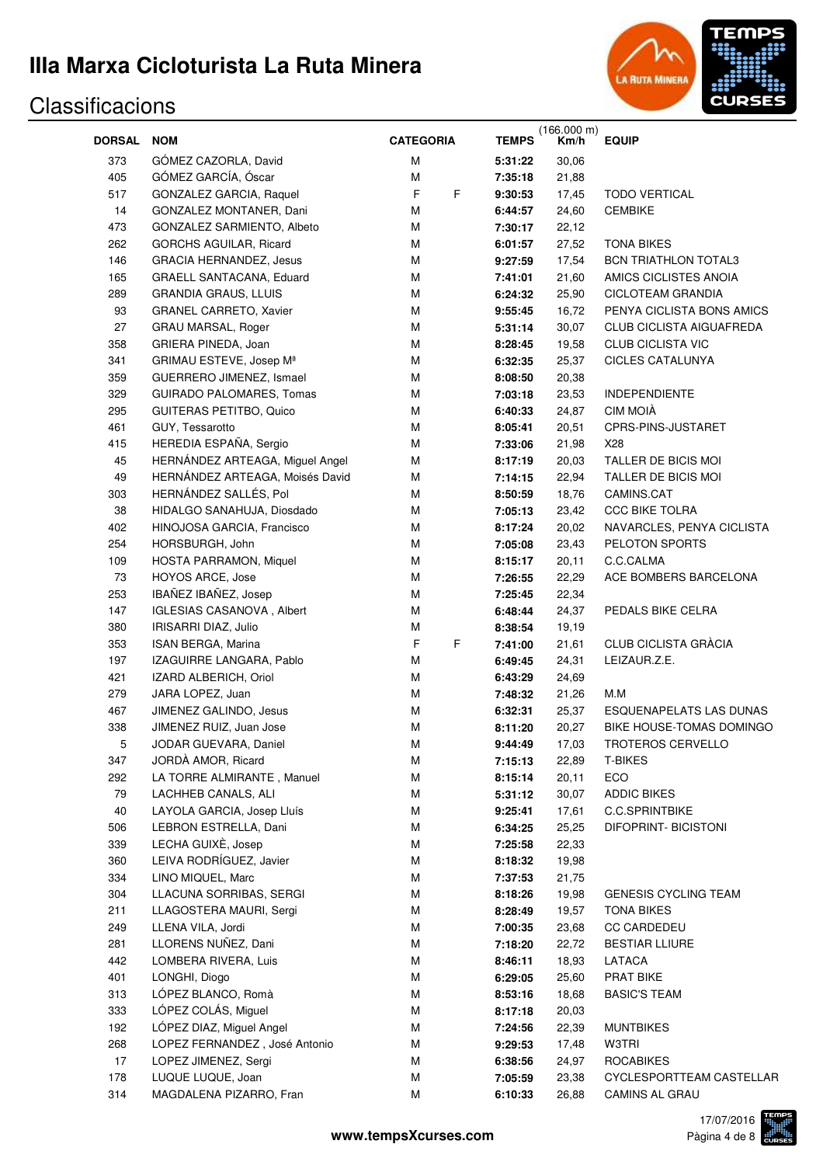

|               |                                     |                  |    |              | (166.000 m)<br>Km/h |                                |
|---------------|-------------------------------------|------------------|----|--------------|---------------------|--------------------------------|
| <b>DORSAL</b> | <b>NOM</b>                          | <b>CATEGORIA</b> |    | <b>TEMPS</b> |                     | <b>EQUIP</b>                   |
| 373           | GÓMEZ CAZORLA, David                | М                |    | 5:31:22      | 30,06               |                                |
| 405           | GÓMEZ GARCÍA, Óscar                 | М                |    | 7:35:18      | 21,88               |                                |
| 517           | GONZALEZ GARCIA, Raquel             | F                | F  | 9:30:53      | 17,45               | <b>TODO VERTICAL</b>           |
| 14            | GONZALEZ MONTANER, Dani             | М                |    | 6:44:57      | 24,60               | <b>CEMBIKE</b>                 |
| 473           | GONZALEZ SARMIENTO, Albeto          | М                |    | 7:30:17      | 22,12               |                                |
| 262           | GORCHS AGUILAR, Ricard              | М                |    | 6:01:57      | 27,52               | <b>TONA BIKES</b>              |
| 146           | <b>GRACIA HERNANDEZ, Jesus</b>      | М                |    | 9:27:59      | 17,54               | <b>BCN TRIATHLON TOTAL3</b>    |
| 165           | GRAELL SANTACANA, Eduard            | M                |    | 7:41:01      | 21,60               | AMICS CICLISTES ANOIA          |
| 289           | <b>GRANDIA GRAUS, LLUIS</b>         | M                |    | 6:24:32      | 25,90               | <b>CICLOTEAM GRANDIA</b>       |
| 93            | GRANEL CARRETO, Xavier              | M                |    | 9:55:45      | 16,72               | PENYA CICLISTA BONS AMICS      |
| 27            | GRAU MARSAL, Roger                  | M                |    | 5:31:14      | 30,07               | CLUB CICLISTA AIGUAFREDA       |
| 358           | GRIERA PINEDA, Joan                 | M                |    | 8:28:45      | 19,58               | <b>CLUB CICLISTA VIC</b>       |
| 341           | GRIMAU ESTEVE, Josep M <sup>a</sup> | M                |    | 6:32:35      | 25,37               | <b>CICLES CATALUNYA</b>        |
| 359           | GUERRERO JIMENEZ, Ismael            | M                |    | 8:08:50      | 20,38               |                                |
| 329           | GUIRADO PALOMARES, Tomas            | M                |    | 7:03:18      | 23,53               | <b>INDEPENDIENTE</b>           |
| 295           | <b>GUITERAS PETITBO, Quico</b>      | M                |    | 6:40:33      | 24,87               | CIM MOIÀ                       |
| 461           | GUY, Tessarotto                     | M                |    | 8:05:41      | 20,51               | CPRS-PINS-JUSTARET             |
| 415           | HEREDIA ESPAÑA, Sergio              | M                |    | 7:33:06      | 21,98               | X28                            |
| 45            | HERNÁNDEZ ARTEAGA, Miguel Angel     | M                |    | 8:17:19      | 20,03               | TALLER DE BICIS MOI            |
| 49            | HERNÁNDEZ ARTEAGA, Moisés David     | M                |    | 7:14:15      | 22,94               | TALLER DE BICIS MOI            |
| 303           | HERNÁNDEZ SALLÉS, Pol               | M                |    | 8:50:59      | 18,76               | CAMINS.CAT                     |
| 38            | HIDALGO SANAHUJA, Diosdado          | M                |    | 7:05:13      | 23,42               | <b>CCC BIKE TOLRA</b>          |
| 402           | HINOJOSA GARCIA, Francisco          | M                |    | 8:17:24      | 20,02               | NAVARCLES, PENYA CICLISTA      |
| 254           | HORSBURGH, John                     | M                |    | 7:05:08      | 23,43               | PELOTON SPORTS                 |
| 109           | HOSTA PARRAMON, Miquel              | M                |    | 8:15:17      | 20,11               | C.C.CALMA                      |
| 73            | HOYOS ARCE, Jose                    | M                |    | 7:26:55      | 22,29               | ACE BOMBERS BARCELONA          |
| 253           | IBAÑEZ IBAÑEZ, Josep                | M                |    | 7:25:45      | 22,34               |                                |
| 147           | IGLESIAS CASANOVA, Albert           | M                |    | 6:48:44      | 24,37               | PEDALS BIKE CELRA              |
| 380           | IRISARRI DIAZ, Julio                | М                |    | 8:38:54      | 19,19               |                                |
| 353           | ISAN BERGA, Marina                  | F                | F. | 7:41:00      | 21,61               | CLUB CICLISTA GRÀCIA           |
| 197           | IZAGUIRRE LANGARA, Pablo            | M                |    | 6:49:45      | 24,31               | LEIZAUR.Z.E.                   |
| 421           | IZARD ALBERICH, Oriol               | М                |    | 6:43:29      | 24,69               |                                |
| 279           | JARA LOPEZ, Juan                    | М                |    | 7:48:32      | 21,26               | M.M                            |
| 467           | JIMENEZ GALINDO, Jesus              | М                |    | 6:32:31      | 25,37               | <b>ESQUENAPELATS LAS DUNAS</b> |
| 338           | JIMENEZ RUIZ, Juan Jose             | М                |    | 8:11:20      | 20,27               | BIKE HOUSE-TOMAS DOMINGO       |
| 5             | JODAR GUEVARA, Daniel               | М                |    | 9:44:49      | 17,03               | TROTEROS CERVELLO              |
| 347           | JORDÀ AMOR, Ricard                  | М                |    | 7:15:13      | 22,89               | <b>T-BIKES</b>                 |
| 292           | LA TORRE ALMIRANTE, Manuel          | M                |    | 8:15:14      | 20,11               | ECO                            |
| 79            | LACHHEB CANALS, ALI                 | M                |    | 5:31:12      | 30,07               | <b>ADDIC BIKES</b>             |
| 40            | LAYOLA GARCIA, Josep Lluís          | M                |    | 9:25:41      | 17,61               | <b>C.C.SPRINTBIKE</b>          |
| 506           | LEBRON ESTRELLA, Dani               | M                |    | 6:34:25      | 25,25               | <b>DIFOPRINT- BICISTONI</b>    |
| 339           | LECHA GUIXÈ, Josep                  | M                |    | 7:25:58      | 22,33               |                                |
| 360           | LEIVA RODRÍGUEZ, Javier             | M                |    | 8:18:32      | 19,98               |                                |
| 334           | LINO MIQUEL, Marc                   | M                |    | 7:37:53      | 21,75               |                                |
| 304           | LLACUNA SORRIBAS, SERGI             | M                |    | 8:18:26      | 19,98               | <b>GENESIS CYCLING TEAM</b>    |
| 211           | LLAGOSTERA MAURI, Sergi             | M                |    | 8:28:49      | 19,57               | <b>TONA BIKES</b>              |
| 249           | LLENA VILA, Jordi                   | M                |    | 7:00:35      | 23,68               | <b>CC CARDEDEU</b>             |
| 281           | LLORENS NUÑEZ, Dani                 | M                |    | 7:18:20      | 22,72               | <b>BESTIAR LLIURE</b>          |
| 442           | LOMBERA RIVERA, Luis                | M                |    | 8:46:11      | 18,93               | LATACA                         |
| 401           | LONGHI, Diogo                       | M                |    | 6:29:05      | 25,60               | PRAT BIKE                      |
| 313           | LÓPEZ BLANCO, Romà                  | M                |    | 8:53:16      | 18,68               | <b>BASIC'S TEAM</b>            |
| 333           | LÓPEZ COLÁS, Miguel                 | M                |    | 8:17:18      | 20,03               |                                |
| 192           | LÓPEZ DIAZ, Miguel Angel            | M                |    | 7:24:56      | 22,39               | <b>MUNTBIKES</b>               |
| 268           | LOPEZ FERNANDEZ, José Antonio       | M                |    | 9:29:53      | 17,48               | W3TRI                          |
| 17            | LOPEZ JIMENEZ, Sergi                | M                |    | 6:38:56      | 24,97               | <b>ROCABIKES</b>               |
| 178           | LUQUE LUQUE, Joan                   | M                |    | 7:05:59      | 23,38               | CYCLESPORTTEAM CASTELLAR       |
| 314           | MAGDALENA PIZARRO, Fran             | М                |    | 6:10:33      | 26,88               | <b>CAMINS AL GRAU</b>          |

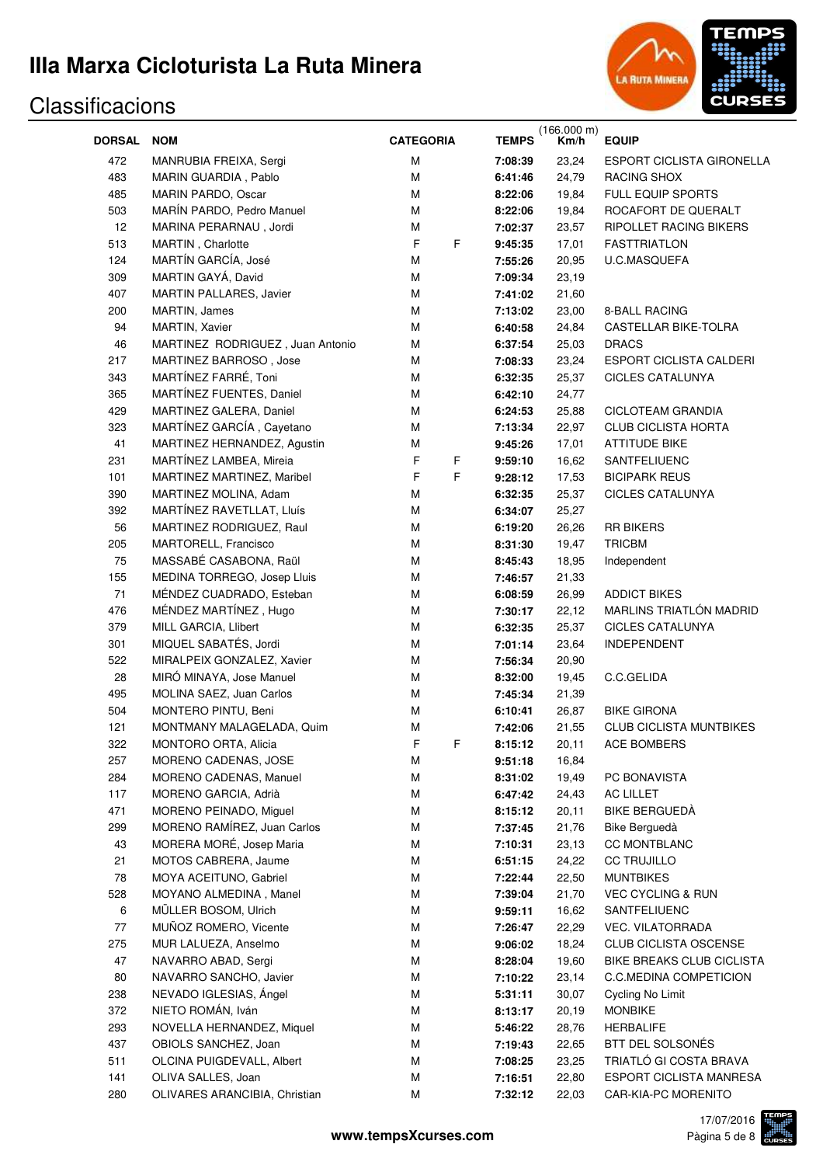

| <b>DORSAL</b> | <b>NOM</b>                       | <b>CATEGORIA</b> | <b>TEMPS</b> | $(166.000 m)$<br>Km/h | <b>EQUIP</b>                     |
|---------------|----------------------------------|------------------|--------------|-----------------------|----------------------------------|
| 472           | MANRUBIA FREIXA, Sergi           | M                | 7:08:39      | 23,24                 | <b>ESPORT CICLISTA GIRONELLA</b> |
| 483           | MARIN GUARDIA, Pablo             | M                | 6:41:46      | 24,79                 | RACING SHOX                      |
| 485           | MARIN PARDO, Oscar               | M                |              | 19,84                 | FULL EQUIP SPORTS                |
| 503           | MARÍN PARDO, Pedro Manuel        | M                | 8:22:06      | 19,84                 | ROCAFORT DE QUERALT              |
|               |                                  |                  | 8:22:06      |                       | RIPOLLET RACING BIKERS           |
| 12            | MARINA PERARNAU, Jordi           | М                | 7:02:37      | 23,57                 |                                  |
| 513           | MARTIN, Charlotte                | F<br>F           | 9:45:35      | 17,01                 | <b>FASTTRIATLON</b>              |
| 124           | MARTÍN GARCÍA, José              | M                | 7:55:26      | 20,95                 | U.C.MASQUEFA                     |
| 309           | MARTIN GAYÁ, David               | M                | 7:09:34      | 23,19                 |                                  |
| 407           | MARTIN PALLARES, Javier          | M                | 7:41:02      | 21,60                 |                                  |
| 200           | MARTIN, James                    | M                | 7:13:02      | 23,00                 | 8-BALL RACING                    |
| 94            | MARTIN, Xavier                   | M                | 6:40:58      | 24,84                 | CASTELLAR BIKE-TOLRA             |
| 46            | MARTINEZ RODRIGUEZ, Juan Antonio | M                | 6:37:54      | 25,03                 | <b>DRACS</b>                     |
| 217           | MARTINEZ BARROSO, Jose           | M                | 7:08:33      | 23,24                 | ESPORT CICLISTA CALDERI          |
| 343           | MARTÍNEZ FARRÉ, Toni             | M                | 6:32:35      | 25,37                 | <b>CICLES CATALUNYA</b>          |
| 365           | MARTÍNEZ FUENTES, Daniel         | М                | 6:42:10      | 24,77                 |                                  |
| 429           | MARTINEZ GALERA, Daniel          | M                | 6:24:53      | 25,88                 | CICLOTEAM GRANDIA                |
| 323           | MARTÍNEZ GARCÍA, Cayetano        | M                | 7:13:34      | 22,97                 | <b>CLUB CICLISTA HORTA</b>       |
| 41            | MARTINEZ HERNANDEZ, Agustin      | M                | 9:45:26      | 17,01                 | <b>ATTITUDE BIKE</b>             |
| 231           | MARTÍNEZ LAMBEA, Mireia          | F<br>F           | 9:59:10      | 16,62                 | SANTFELIUENC                     |
| 101           | MARTINEZ MARTINEZ, Maribel       | F<br>F           | 9:28:12      | 17,53                 | <b>BICIPARK REUS</b>             |
| 390           | MARTINEZ MOLINA, Adam            | М                | 6:32:35      | 25,37                 | <b>CICLES CATALUNYA</b>          |
| 392           | MARTÍNEZ RAVETLLAT, Lluís        | М                | 6:34:07      | 25,27                 |                                  |
| 56            | MARTINEZ RODRIGUEZ, Raul         | M                | 6:19:20      | 26,26                 | <b>RR BIKERS</b>                 |
| 205           | MARTORELL, Francisco             | M                | 8:31:30      | 19,47                 | <b>TRICBM</b>                    |
| 75            | MASSABÉ CASABONA, Raül           | M                | 8:45:43      | 18,95                 | Independent                      |
| 155           | MEDINA TORREGO, Josep Lluis      | M                | 7:46:57      | 21,33                 |                                  |
| 71            | MÉNDEZ CUADRADO, Esteban         | M                | 6:08:59      | 26,99                 | <b>ADDICT BIKES</b>              |
| 476           | MÉNDEZ MARTÍNEZ, Hugo            | M                | 7:30:17      | 22,12                 | MARLINS TRIATLÓN MADRID          |
| 379           | MILL GARCIA, Llibert             | M                | 6:32:35      | 25,37                 | <b>CICLES CATALUNYA</b>          |
| 301           | MIQUEL SABATÉS, Jordi            | M                | 7:01:14      | 23,64                 | <b>INDEPENDENT</b>               |
| 522           | MIRALPEIX GONZALEZ, Xavier       | M                | 7:56:34      | 20,90                 |                                  |
| 28            | MIRÓ MINAYA, Jose Manuel         | M                | 8:32:00      | 19,45                 | C.C.GELIDA                       |
| 495           | MOLINA SAEZ, Juan Carlos         | M                | 7:45:34      | 21,39                 |                                  |
| 504           | MONTERO PINTU, Beni              | M                | 6:10:41      | 26,87                 | <b>BIKE GIRONA</b>               |
| 121           | MONTMANY MALAGELADA, Quim        | M                | 7:42:06      | 21,55                 | <b>CLUB CICLISTA MUNTBIKES</b>   |
| 322           | MONTORO ORTA, Alicia             | F<br>F           | 8:15:12      | 20,11                 | ACE BOMBERS                      |
| 257           | MORENO CADENAS, JOSE             | M                | 9:51:18      | 16,84                 |                                  |
| 284           | MORENO CADENAS, Manuel           | M                | 8:31:02      | 19,49                 | PC BONAVISTA                     |
| 117           | MORENO GARCIA, Adrià             | M                | 6:47:42      | 24,43                 | AC LILLET                        |
| 471           | MORENO PEINADO, Miguel           | M                | 8:15:12      | 20,11                 | <b>BIKE BERGUEDA</b>             |
| 299           | MORENO RAMÍREZ, Juan Carlos      | M                | 7:37:45      | 21,76                 | Bike Berguedà                    |
| 43            | MORERA MORÉ, Josep Maria         | M                | 7:10:31      | 23,13                 | <b>CC MONTBLANC</b>              |
| 21            | MOTOS CABRERA, Jaume             | M                | 6:51:15      | 24,22                 | <b>CC TRUJILLO</b>               |
| 78            | MOYA ACEITUNO, Gabriel           | М                | 7:22:44      | 22,50                 | <b>MUNTBIKES</b>                 |
| 528           | MOYANO ALMEDINA, Manel           | M                | 7:39:04      | 21,70                 | <b>VEC CYCLING &amp; RUN</b>     |
| 6             | MÜLLER BOSOM, Ulrich             | M                | 9:59:11      | 16,62                 | SANTFELIUENC                     |
| 77            | MUÑOZ ROMERO, Vicente            | М                | 7:26:47      | 22,29                 | VEC. VILATORRADA                 |
| 275           | MUR LALUEZA, Anselmo             | М                | 9:06:02      | 18,24                 | CLUB CICLISTA OSCENSE            |
| 47            | NAVARRO ABAD, Sergi              | М                | 8:28:04      | 19,60                 | BIKE BREAKS CLUB CICLISTA        |
| 80            | NAVARRO SANCHO, Javier           | М                | 7:10:22      | 23,14                 | <b>C.C.MEDINA COMPETICION</b>    |
| 238           | NEVADO IGLESIAS, Ángel           | M                | 5:31:11      | 30,07                 | Cycling No Limit                 |
| 372           | NIETO ROMÁN, Iván                | M                | 8:13:17      | 20,19                 | <b>MONBIKE</b>                   |
| 293           | NOVELLA HERNANDEZ, Miquel        | M                | 5:46:22      | 28,76                 | <b>HERBALIFE</b>                 |
| 437           | OBIOLS SANCHEZ, Joan             | M                | 7:19:43      | 22,65                 | BTT DEL SOLSONÉS                 |
| 511           | OLCINA PUIGDEVALL, Albert        | M                | 7:08:25      | 23,25                 | TRIATLÓ GI COSTA BRAVA           |
| 141           | OLIVA SALLES, Joan               | M                | 7:16:51      | 22,80                 | ESPORT CICLISTA MANRESA          |
| 280           | OLIVARES ARANCIBIA, Christian    | M                | 7:32:12      | 22,03                 | CAR-KIA-PC MORENITO              |

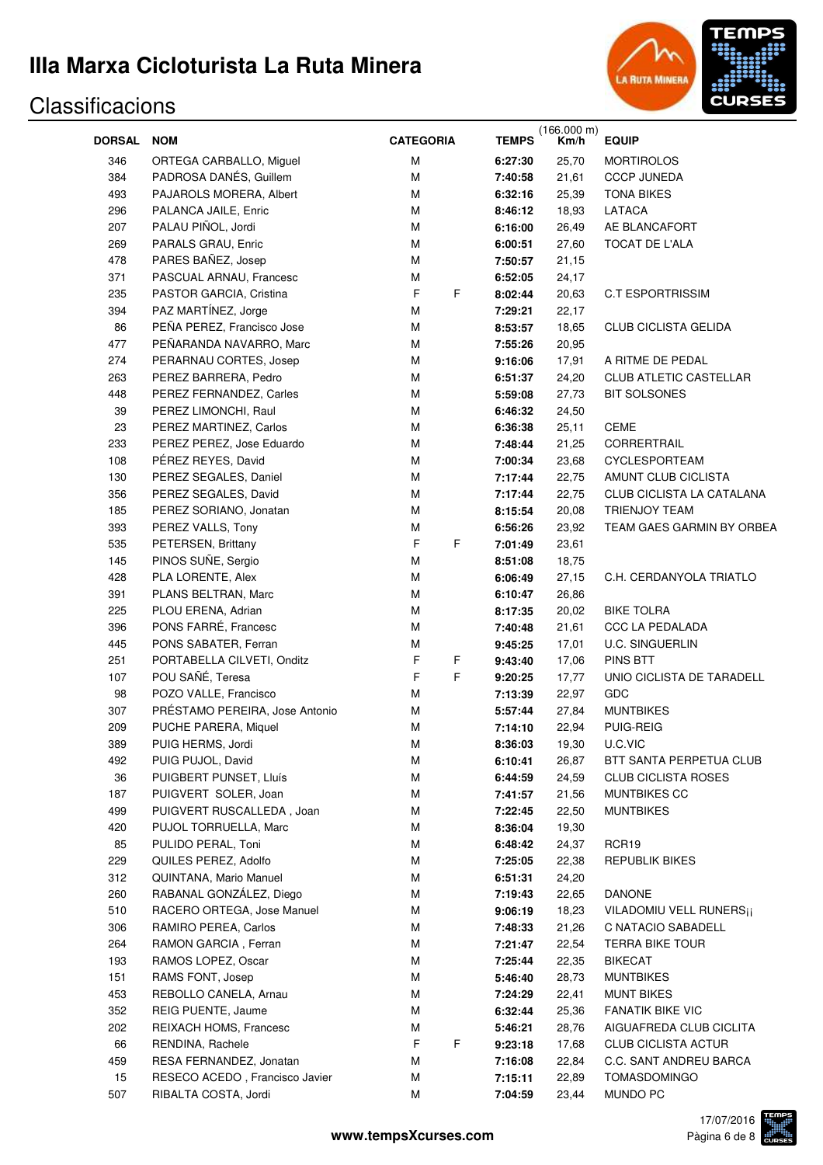

| DORSAL NOM |                                | <b>CATEGORIA</b> | <b>TEMPS</b> | (166.000 m)<br>Km/h | <b>EQUIP</b>                        |
|------------|--------------------------------|------------------|--------------|---------------------|-------------------------------------|
|            |                                |                  |              |                     |                                     |
| 346        | ORTEGA CARBALLO, Miguel        | М                | 6:27:30      | 25,70               | <b>MORTIROLOS</b>                   |
| 384        | PADROSA DANÉS, Guillem         | M                | 7:40:58      | 21,61               | <b>CCCP JUNEDA</b>                  |
| 493        | PAJAROLS MORERA, Albert        | M                | 6:32:16      | 25,39               | <b>TONA BIKES</b>                   |
| 296        | PALANCA JAILE, Enric           | M                | 8:46:12      | 18,93               | LATACA                              |
| 207        | PALAU PIÑOL, Jordi             | M                | 6:16:00      | 26,49               | AE BLANCAFORT                       |
| 269        | PARALS GRAU, Enric             | M                | 6:00:51      | 27,60               | TOCAT DE L'ALA                      |
| 478        | PARES BAÑEZ, Josep             | M                | 7:50:57      | 21,15               |                                     |
| 371        | PASCUAL ARNAU, Francesc        | M                | 6:52:05      | 24,17               |                                     |
| 235        | PASTOR GARCIA, Cristina        | F<br>F           | 8:02:44      | 20,63               | <b>C.T ESPORTRISSIM</b>             |
| 394        | PAZ MARTÍNEZ, Jorge            | M                | 7:29:21      | 22,17               |                                     |
| 86         | PEÑA PEREZ, Francisco Jose     | M                | 8:53:57      | 18,65               | CLUB CICLISTA GELIDA                |
| 477        | PEÑARANDA NAVARRO, Marc        | M                | 7:55:26      | 20,95               |                                     |
| 274        | PERARNAU CORTES, Josep         | M                | 9:16:06      | 17,91               | A RITME DE PEDAL                    |
| 263        | PEREZ BARRERA, Pedro           | M                | 6:51:37      | 24,20               | CLUB ATLETIC CASTELLAR              |
| 448        | PEREZ FERNANDEZ, Carles        | M                | 5:59:08      | 27,73               | <b>BIT SOLSONES</b>                 |
| 39         | PEREZ LIMONCHI, Raul           | M                | 6:46:32      | 24,50               |                                     |
| 23         | PEREZ MARTINEZ, Carlos         | M                | 6:36:38      | 25,11               | CEME                                |
| 233        | PEREZ PEREZ, Jose Eduardo      | M                | 7:48:44      | 21,25               | CORRERTRAIL                         |
| 108        | PÉREZ REYES, David             | M                | 7:00:34      | 23,68               | <b>CYCLESPORTEAM</b>                |
| 130        | PEREZ SEGALES, Daniel          | M                | 7:17:44      | 22,75               | AMUNT CLUB CICLISTA                 |
| 356        | PEREZ SEGALES, David           | M                | 7:17:44      | 22,75               | CLUB CICLISTA LA CATALANA           |
| 185        | PEREZ SORIANO, Jonatan         | M                | 8:15:54      | 20,08               | TRIENJOY TEAM                       |
| 393        | PEREZ VALLS, Tony              | М                | 6:56:26      | 23,92               | TEAM GAES GARMIN BY ORBEA           |
| 535        | PETERSEN, Brittany             | F<br>F           | 7:01:49      | 23,61               |                                     |
| 145        | PINOS SUÑE, Sergio             | M                | 8:51:08      | 18,75               |                                     |
| 428        | PLA LORENTE, Alex              | M                | 6:06:49      | 27,15               | C.H. CERDANYOLA TRIATLO             |
| 391        | PLANS BELTRAN, Marc            | M                | 6:10:47      | 26,86               |                                     |
| 225        | PLOU ERENA, Adrian             | M                | 8:17:35      | 20,02               | <b>BIKE TOLRA</b>                   |
| 396        | PONS FARRÉ, Francesc           | M                | 7:40:48      | 21,61               | <b>CCC LA PEDALADA</b>              |
| 445        | PONS SABATER, Ferran           | M                | 9:45:25      | 17,01               | <b>U.C. SINGUERLIN</b>              |
| 251        | PORTABELLA CILVETI, Onditz     | F<br>F           | 9:43:40      | 17,06               | <b>PINS BTT</b>                     |
| 107        | POU SAÑÉ, Teresa               | F<br>F           | 9:20:25      | 17,77               | UNIO CICLISTA DE TARADELL           |
| 98         | POZO VALLE, Francisco          | M                | 7:13:39      | 22,97               | GDC                                 |
| 307        | PRÉSTAMO PEREIRA, Jose Antonio | M                | 5:57:44      | 27,84               | <b>MUNTBIKES</b>                    |
| 209        | PUCHE PARERA, Miquel           | М                | 7:14:10      | 22,94               | PUIG-REIG                           |
| 389        | PUIG HERMS, Jordi              | ${\sf M}$        | 8:36:03      | 19,30               | U.C.VIC                             |
| 492        | PUIG PUJOL, David              | M                | 6:10:41      | 26,87               | BTT SANTA PERPETUA CLUB             |
| 36         | PUIGBERT PUNSET, Lluís         | M                | 6:44:59      | 24,59               | <b>CLUB CICLISTA ROSES</b>          |
| 187        | PUIGVERT SOLER, Joan           | M                | 7:41:57      | 21,56               | MUNTBIKES CC                        |
| 499        | PUIGVERT RUSCALLEDA, Joan      | M                | 7:22:45      | 22,50               | <b>MUNTBIKES</b>                    |
| 420        | PUJOL TORRUELLA, Marc          | M                | 8:36:04      | 19,30               |                                     |
| 85         | PULIDO PERAL, Toni             | M                | 6:48:42      | 24,37               | RCR <sub>19</sub>                   |
| 229        | QUILES PEREZ, Adolfo           | M                | 7:25:05      | 22,38               | <b>REPUBLIK BIKES</b>               |
| 312        | QUINTANA, Mario Manuel         | M                | 6:51:31      | 24,20               |                                     |
| 260        | RABANAL GONZÁLEZ, Diego        | M                | 7:19:43      | 22,65               | <b>DANONE</b>                       |
| 510        | RACERO ORTEGA, Jose Manuel     | M                | 9:06:19      | 18,23               | VILADOMIU VELL RUNERS <sub>ii</sub> |
| 306        | RAMIRO PEREA, Carlos           | M                | 7:48:33      | 21,26               | C NATACIO SABADELL                  |
| 264        | RAMON GARCIA, Ferran           | M                | 7:21:47      | 22,54               | <b>TERRA BIKE TOUR</b>              |
| 193        | RAMOS LOPEZ, Oscar             | M                | 7:25:44      | 22,35               | <b>BIKECAT</b>                      |
| 151        | RAMS FONT, Josep               | M                | 5:46:40      | 28,73               | <b>MUNTBIKES</b>                    |
| 453        | REBOLLO CANELA, Arnau          | М                | 7:24:29      | 22,41               | <b>MUNT BIKES</b>                   |
| 352        | REIG PUENTE, Jaume             | М                | 6:32:44      | 25,36               | <b>FANATIK BIKE VIC</b>             |
| 202        | REIXACH HOMS, Francesc         | М                | 5:46:21      | 28,76               | AIGUAFREDA CLUB CICLITA             |
| 66         | RENDINA, Rachele               | F<br>F           | 9:23:18      | 17,68               | <b>CLUB CICLISTA ACTUR</b>          |
| 459        |                                | M                |              |                     | C.C. SANT ANDREU BARCA              |
|            | RESA FERNANDEZ, Jonatan        |                  | 7:16:08      | 22,84               |                                     |
| 15         | RESECO ACEDO, Francisco Javier | M                | 7:15:11      | 22,89               | TOMASDOMINGO                        |
| 507        | RIBALTA COSTA, Jordi           | М                | 7:04:59      | 23,44               | MUNDO PC                            |

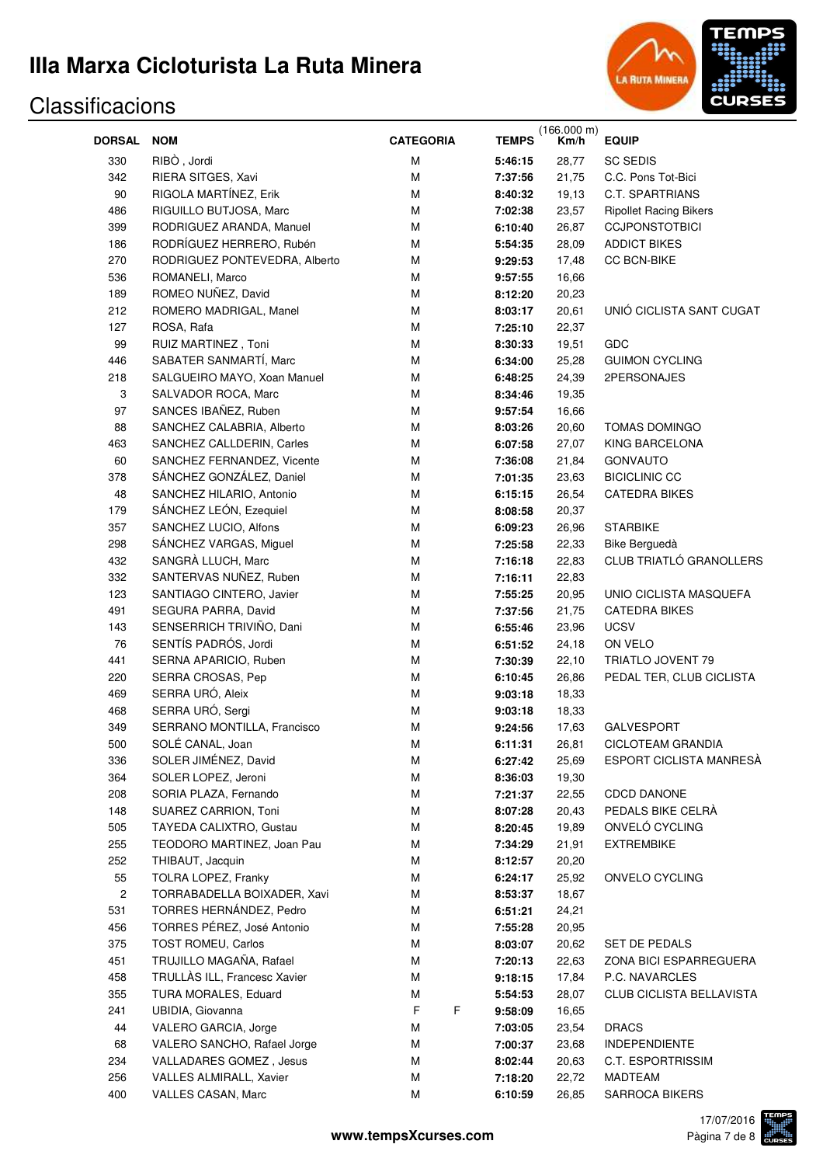

|                         |                               |                  |              | (166.000 m) |                               |
|-------------------------|-------------------------------|------------------|--------------|-------------|-------------------------------|
| <b>DORSAL</b>           | <b>NOM</b>                    | <b>CATEGORIA</b> | <b>TEMPS</b> | Km/h        | <b>EQUIP</b>                  |
| 330                     | RIBO, Jordi                   | М                | 5:46:15      | 28,77       | <b>SC SEDIS</b>               |
| 342                     | RIERA SITGES, Xavi            | М                | 7:37:56      | 21,75       | C.C. Pons Tot-Bici            |
| 90                      | RIGOLA MARTÍNEZ, Erik         | М                | 8:40:32      | 19,13       | <b>C.T. SPARTRIANS</b>        |
| 486                     | RIGUILLO BUTJOSA, Marc        | М                | 7:02:38      | 23,57       | <b>Ripollet Racing Bikers</b> |
| 399                     | RODRIGUEZ ARANDA, Manuel      | М                | 6:10:40      | 26,87       | <b>CCJPONSTOTBICI</b>         |
| 186                     | RODRÍGUEZ HERRERO, Rubén      | М                | 5:54:35      | 28,09       | <b>ADDICT BIKES</b>           |
| 270                     | RODRIGUEZ PONTEVEDRA, Alberto | М                | 9:29:53      | 17,48       | <b>CC BCN-BIKE</b>            |
| 536                     | ROMANELI, Marco               | М                | 9:57:55      | 16,66       |                               |
| 189                     | ROMEO NUÑEZ, David            | М                | 8:12:20      | 20,23       |                               |
| 212                     | ROMERO MADRIGAL, Manel        | М                | 8:03:17      | 20,61       | UNIÓ CICLISTA SANT CUGAT      |
| 127                     | ROSA, Rafa                    | М                | 7:25:10      | 22,37       |                               |
| 99                      | RUIZ MARTINEZ, Toni           | М                | 8:30:33      | 19,51       | GDC                           |
| 446                     | SABATER SANMARTÍ, Marc        | М                | 6:34:00      | 25,28       | <b>GUIMON CYCLING</b>         |
| 218                     | SALGUEIRO MAYO, Xoan Manuel   | М                | 6:48:25      | 24,39       | 2PERSONAJES                   |
| 3                       | SALVADOR ROCA, Marc           | М                | 8:34:46      | 19,35       |                               |
| 97                      | SANCES IBAÑEZ, Ruben          | М                | 9:57:54      | 16,66       |                               |
| 88                      | SANCHEZ CALABRIA, Alberto     | М                | 8:03:26      | 20,60       | <b>TOMAS DOMINGO</b>          |
| 463                     | SANCHEZ CALLDERIN, Carles     | М                | 6:07:58      | 27,07       | KING BARCELONA                |
| 60                      | SANCHEZ FERNANDEZ, Vicente    | М                | 7:36:08      | 21,84       | <b>GONVAUTO</b>               |
| 378                     | SÁNCHEZ GONZÁLEZ, Daniel      | М                | 7:01:35      | 23,63       | <b>BICICLINIC CC</b>          |
| 48                      | SANCHEZ HILARIO, Antonio      | М                | 6:15:15      | 26,54       | <b>CATEDRA BIKES</b>          |
| 179                     | SÁNCHEZ LEÓN, Ezequiel        | М                | 8:08:58      | 20,37       |                               |
| 357                     | SANCHEZ LUCIO, Alfons         | М                | 6:09:23      | 26,96       | <b>STARBIKE</b>               |
| 298                     | SÁNCHEZ VARGAS, Miguel        | М                | 7:25:58      | 22,33       | Bike Berguedà                 |
| 432                     | SANGRÀ LLUCH, Marc            | М                | 7:16:18      | 22,83       | CLUB TRIATLÓ GRANOLLERS       |
| 332                     | SANTERVAS NUÑEZ, Ruben        | М                | 7:16:11      | 22,83       |                               |
| 123                     | SANTIAGO CINTERO, Javier      | М                | 7:55:25      | 20,95       | UNIO CICLISTA MASQUEFA        |
| 491                     | SEGURA PARRA, David           | М                | 7:37:56      | 21,75       | <b>CATEDRA BIKES</b>          |
| 143                     | SENSERRICH TRIVIÑO, Dani      | М                | 6:55:46      | 23,96       | <b>UCSV</b>                   |
| 76                      | SENTÍS PADRÓS, Jordi          | М                | 6:51:52      | 24,18       | ON VELO                       |
| 441                     | SERNA APARICIO, Ruben         | М                | 7:30:39      | 22,10       | TRIATLO JOVENT 79             |
| 220                     | SERRA CROSAS, Pep             | М                | 6:10:45      | 26,86       | PEDAL TER, CLUB CICLISTA      |
| 469                     | SERRA URÓ, Aleix              | М                | 9:03:18      | 18,33       |                               |
| 468                     | SERRA URÓ, Sergi              | М                | 9:03:18      | 18,33       |                               |
| 349                     | SERRANO MONTILLA, Francisco   | М                | 9:24:56      | 17,63       | <b>GALVESPORT</b>             |
| 500                     | SOLÉ CANAL, Joan              | М                | 6:11:31      | 26,81       | CICLOTEAM GRANDIA             |
| 336                     | SOLER JIMÉNEZ, David          | М                | 6:27:42      | 25,69       | ESPORT CICLISTA MANRESÀ       |
| 364                     | SOLER LOPEZ, Jeroni           | М                | 8:36:03      | 19,30       |                               |
| 208                     | SORIA PLAZA, Fernando         | М                | 7:21:37      | 22,55       | <b>CDCD DANONE</b>            |
| 148                     | SUAREZ CARRION, Toni          | М                | 8:07:28      | 20,43       | PEDALS BIKE CELRÀ             |
| 505                     | TAYEDA CALIXTRO, Gustau       | М                | 8:20:45      | 19,89       | ONVELÓ CYCLING                |
| 255                     | TEODORO MARTINEZ, Joan Pau    | М                | 7:34:29      | 21,91       | <b>EXTREMBIKE</b>             |
| 252                     | THIBAUT, Jacquin              | М                | 8:12:57      | 20,20       |                               |
| 55                      | <b>TOLRA LOPEZ, Franky</b>    | М                | 6:24:17      | 25,92       | ONVELO CYCLING                |
| $\overline{\mathbf{c}}$ | TORRABADELLA BOIXADER, Xavi   | М                | 8:53:37      | 18,67       |                               |
| 531                     | TORRES HERNÁNDEZ, Pedro       | М                | 6:51:21      | 24,21       |                               |
| 456                     | TORRES PÉREZ, José Antonio    | М                | 7:55:28      | 20,95       |                               |
| 375                     | <b>TOST ROMEU, Carlos</b>     | М                | 8:03:07      | 20,62       | SET DE PEDALS                 |
| 451                     | TRUJILLO MAGAÑA, Rafael       | М                | 7:20:13      | 22,63       | ZONA BICI ESPARREGUERA        |
| 458                     | TRULLÀS ILL, Francesc Xavier  | М                | 9:18:15      | 17,84       | P.C. NAVARCLES                |
| 355                     | TURA MORALES, Eduard          | М                | 5:54:53      | 28,07       | CLUB CICLISTA BELLAVISTA      |
| 241                     | UBIDIA, Giovanna              | F<br>F           | 9:58:09      | 16,65       |                               |
| 44                      | VALERO GARCIA, Jorge          | М                | 7:03:05      | 23,54       | <b>DRACS</b>                  |
| 68                      | VALERO SANCHO, Rafael Jorge   | М                | 7:00:37      | 23,68       | <b>INDEPENDIENTE</b>          |
| 234                     | VALLADARES GOMEZ, Jesus       | М                | 8:02:44      | 20,63       | <b>C.T. ESPORTRISSIM</b>      |
| 256                     | VALLES ALMIRALL, Xavier       | М                | 7:18:20      | 22,72       | <b>MADTEAM</b>                |
| 400                     | VALLES CASAN, Marc            | М                | 6:10:59      | 26,85       | <b>SARROCA BIKERS</b>         |